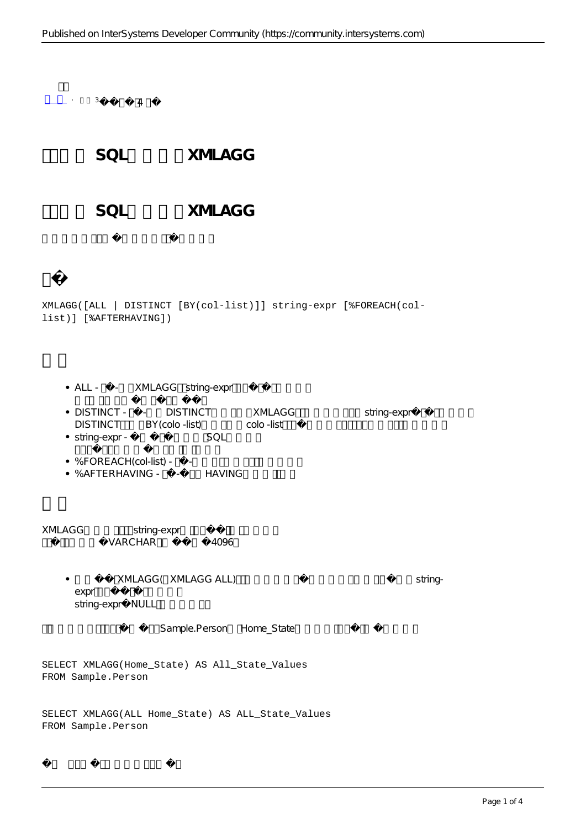$-$  3 4

- SOL XMLAGG
- SOL XMLAGG

## XMLAGG([ALL | DISTINCT [BY(col-list)]] string-expr [%FOREACH(collist)] [%AFTERHAVING])

- ALL - XMLAGG string-expr
- DISTINCT PISTINCT XMLAGG string-expr DISTINCT BY(colo -list) colo -list<br>string-expr - SQL
- string-expr -
- $\bullet$  %FOREACH(col-list)  $-$
- %AFTERHAVING - HAVING

XMLAGG string-expr VARCHAR, 4096

> $XMLAGG$ (  $XMLAGG$  ALL) string- $\bullet$ expr string-expr NULL

> > Sample.Person Home\_State

SELECT XMLAGG(Home\_State) AS All\_State\_Values FROM Sample.Person

SELECT XMLAGG(ALL Home\_State) AS ALL\_State\_Values FROM Sample.Person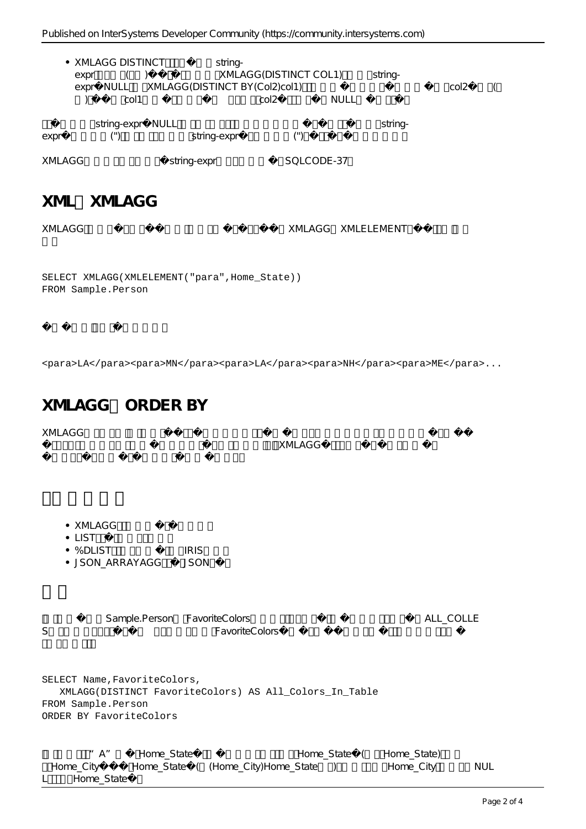|        | • XMLAGG DISTINCT<br>expr<br>NULL<br>expr | string-<br>XMLAGG(DISTINCT BY(Col2)col1) | XMLAGG (DISTINCT COL1) |      | string- | col2 |  |  |
|--------|-------------------------------------------|------------------------------------------|------------------------|------|---------|------|--|--|
|        | col1                                      |                                          | CO <sub>12</sub>       | NULL |         |      |  |  |
|        | string-expr                               | NULL                                     |                        |      | string- |      |  |  |
| expr   | $^{\prime\prime}$                         | string-expr                              |                        |      |         |      |  |  |
| XMLAGG |                                           | string-expr                              | SQLCODE-37             |      |         |      |  |  |

## **XML和XMLAGG**

XMLAGG XMLELEMENT

SELECT XMLAGG(XMLELEMENT("para",Home\_State)) FROM Sample.Person

<para>LA</para><para>MN</para><para>LA</para><para>NH</para><para>ME</para>...

## **XMLAGG和ORDER BY**

XMLAGG函数将来自多行的表列的值连接到单个字符串中。因为在计算所有聚合字段之后,将逐个从句应用于查询

 $\times$  MLAGG  $\overline{S}$ 

- $\bullet$  XMLAGG
- $\bullet$  LIST
- $\bullet$  %DLIST IRIS
- JSON\_ARRAYAGG JSON

下面的示例创建在Sample.Person表的FavoriteColors列中找到的所有不同值的串联字符串。因此,对于ALL\_COLLE FavoriteColors

SELECT Name,FavoriteColors, XMLAGG(DISTINCT FavoriteColors) AS All\_Colors\_In\_Table FROM Sample.Person ORDER BY FavoriteColors

"A" Home State Nome State ( Home State) Home\_City Home\_State ((Home\_City)Home\_State ) Home\_City NUL L; Home\_State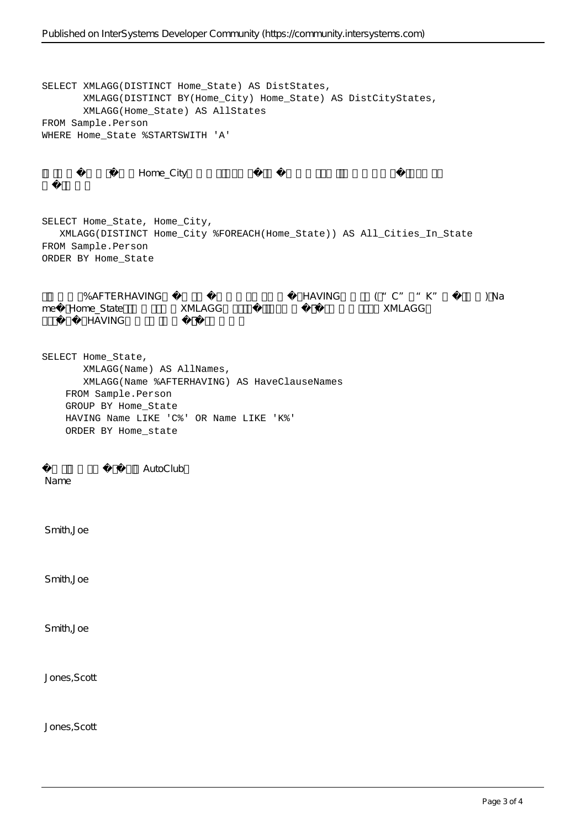SELECT XMLAGG(DISTINCT Home\_State) AS DistStates, XMLAGG(DISTINCT BY(Home\_City) Home\_State) AS DistCityStates, XMLAGG(Home\_State) AS AllStates FROM Sample.Person WHERE Home\_State %STARTSWITH 'A'

Home City

SELECT Home State, Home City, XMLAGG(DISTINCT Home\_City %FOREACH(Home\_State)) AS All\_Cities\_In\_State FROM Sample.Person ORDER BY Home\_State

以下示例使用%AFTERHAVING关键字。它为每个包含至少一个满足HAVING子句条件(以"C"或"K"开头的名称)的Na me值的Home\_State返回一行。第一个XMLAGG函数返回由该州的所有名称组成的连接字符串。第二个XMLAGG函 **HAVING** 

SELECT Home\_State, XMLAGG(Name) AS AllNames, XMLAGG(Name %AFTERHAVING) AS HaveClauseNames FROM Sample.Person GROUP BY Home\_State HAVING Name LIKE 'C%' OR Name LIKE 'K%' ORDER BY Home\_state

AutoClub

Name

Smith,Joe

Smith,Joe

Smith,Joe

Jones,Scott

Jones,Scott